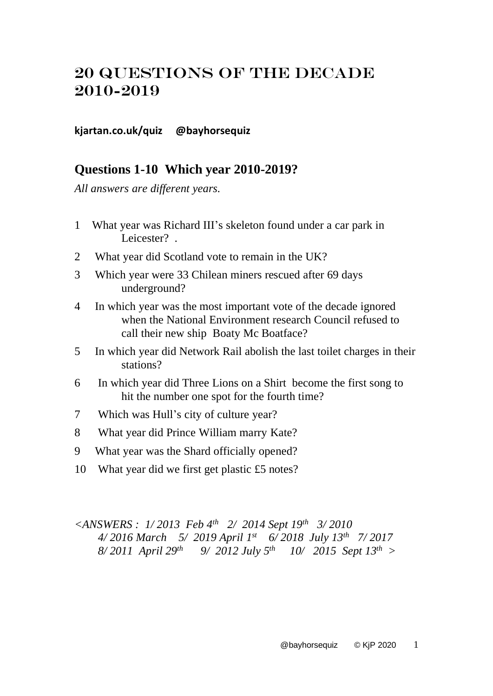## 20 Questions OF THE DECADE 2010-2019

## **kjartan.co.uk/quiz @bayhorsequiz**

## **Questions 1-10 Which year 2010-2019?**

*All answers are different years.* 

- 1 What year was Richard III's skeleton found under a car park in Leicester? *.*
- 2 What year did Scotland vote to remain in the UK?
- 3 Which year were 33 Chilean miners rescued after 69 days underground?
- 4 In which year was the most important vote of the decade ignored when the National Environment research Council refused to call their new ship Boaty Mc Boatface?
- 5 In which year did Network Rail abolish the last toilet charges in their stations?
- 6 In which year did Three Lions on a Shirt become the first song to hit the number one spot for the fourth time?
- 7 Which was Hull's city of culture year?
- 8 What year did Prince William marry Kate?
- 9 What year was the Shard officially opened?
- 10 What year did we first get plastic £5 notes?

*<ANSWERS : 1/ 2013 Feb 4th 2/ 2014 Sept 19th 3/ 2010 4/ 2016 March 5/ 2019 April 1 st 6/ 2018 July 13th 7/ 2017 8/ 2011 April 29th 9/ 2012 July 5 th 10/ 2015 Sept 13th >*